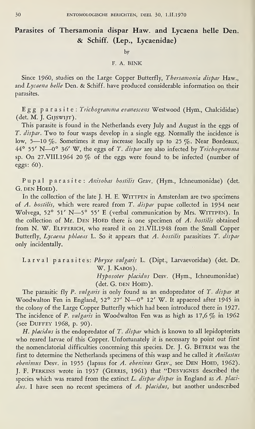## Parasites of Thersamonia dispar Haw. and Lycaena helle Den. & Schiff. (Lep., Lycaenidae)

by

## F. A. BINK

Since I960, studies on the Large Copper Butterfly, Thersamonia dispar Haw., and Lycaena helle Den. & Schiff, have produced considerable information on their parasites.

Egg parasite: Trichogramma evanescens Westwood (Hym., Chalcididae) (det. M. J. Gijswijt).

This parasite is found in the Netherlands every July and August in the eggs of T. dispar. Two to four wasps develop in a single egg. Normally the incidence is low, 5—10 %. Sometimes it may increase locally up to 25 %. Near Bordeaux, 44° 55' N—0° 36' W, the eggs of T. dispar are also infected by Trichogramma sp. On 27.VIII.1964 20 % of the eggs were found to be infected (number of eggs: 60).

Pupal parasite: Anisohas bostilis Grav. (Hym., Ichneumonidae) (det. G. DEN HOED).

In the collection of the late J. H. E. WITTPEN in Amsterdam are two specimens of A. hostilis, which were reared from T. dispar pupae collected in 1934 near Wolvega, 52° 51' N-5° 55' E (verbal communication by Mrs. WITTPEN). In the collection of Mr. DEN HOED there is one specimen of A. hostilis obtained from N. W. ELFFERICH, who reared it on 21.VII.1948 from the Small Copper Butterfly, Lycaena phlaeas L. So it appears that A. hostilis parasitizes T. dispar only incidentally.

Larval parasites: Phryxe vulgaris L. (Dipt., Larvaevoridae) (det. Dr. W. J. Kabos). Hyposoter placidus Desv. (Hym., Ichneumonidae)

(det. G. DEN HOED).

The parasitic fly P. vulgaris is only found as an endopredator of T. dispar at Woodwalton Fen in England, 52° 27' N—0° 12' W. It appaered after 1945 in the colony of the Large Copper Butterfly which had been introduced there in 1927. The incidence of P. vulgaris in Woodwalton Fen was as high as  $17,6\%$  in 1962 (see Duffey 1968, p. 90).

H. placidus is the endopredator of T. dispar which is known to all lepidopterists who reared larvae of this Copper. Unfortunately it is necessary to point out first the nomenclatorial difficulties concerning this species. Dr. J. G. BETREM was the first to determine the Netherlands specimens of this wasp and he called it Anilastus  $ebenimus$  Desv. in 1955 (lapsus for  $A.$   $ebeninus$  Grav., see DEN HOED, 1962). J. F. Perkins wrote in 1957 (Gerris, 1961) that "Desvignes described the species which was reared from the extinct  $L$ . dispar dispar in England as  $A$ . placi $dus$ . I have seen no recent specimens of A. placidus, but another undescribed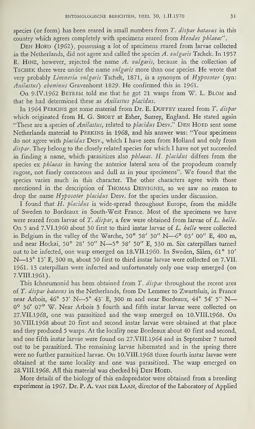species (or form) has been reared in small numbers from T. dispar batavus in this country which agrees completely with specimens reared from Heodes phlaeas".

DEN HOED (1962), possessing a lot of specimens reared from larvae collected in the Netherlands, did not agree and called the species A. vulgaris Tschek. In 1957 R. HINZ, however, rejected the name A. vulgaris, because in the collection of TSCHEK there were under the name vulgaris more than one species. He wrote that very probably Limneria vulgaris Tschek, 1871, is a synonym of Hyposoter (syn: Anilastus) ebeninus Gravenhorst 1829. He confirmed this in 1961.

On 9.IV.1962 BETREM told me that he got 21 wasps from W. L. BLOM and that he had determined these as Anilastus placidus.

In 1964 PERKINS got some material from Dr. E. DUFFEY reared from T. dispar which originated from H. G. SHORT at Esher, Surrey, England. He stated again "These are a species of Anilastus, related to placidus Desv." DEN HOED sent some Netherlands material to Perkins in 1968, and his answer was: "Your specimens do not agree with placidus Desv., which I have seen from Holland and only from dispar. They belong to the closely related species for which I have not yet succeeded in finding a name, which parasitizes also phlaeas. H. placidus differs from the species ex *phlaeas* in having the anterior lateral area of the propodeum coarsely rugose, not finely coreaceous and dull as in your specimens". We found that the species varies much in this character. The other characters agree with those mentioned in the description of Thomas Desvignes, so we saw no reason to drop the name Hyposoter placidus Desv. for the species under discussion.

I found that H. *placidus* is wide-spread throughout Europe, from the middle of Sweden to Bordeaux in South-West France. Most of the specimens we have were reared from larvae of T. dispar, a few were obtained from larvae of L. helle. On <sup>5</sup> and 7.VI.I960 about 30 first to third instar larvae of L. helle were collected in Belgium in the valley of the Warche, 50° 58' 30" N—6° 03' 00" E, 400 m, and near Hockai, 50° 28' 50" N—5° 58' 50" E, 530 m. Six caterpillars turned out to be Infected, one wasp emerged on 18.VII.1960. In Sweden, Sälen, 61° 10' N—13° 15' E, 300 m, about 50 first to third instar larvae were collected on 7.VIL 1961. <sup>13</sup> caterpillars were infected and unfortunately only one wasp emerged (on 7.VIII.1961).

This Ichneumonid has been obtained from T. dispar throughout the recent area of T. dispar batavus in the Netherlands, from De Lemmer to Zwartsluis, in France near Arbois, 46° 57' N—-5° 43\* E, 300 m and near Bordeaux, 44° 54' 5" N— 0° 36' 07" W. Near Arbois 3 fourth and fifth instar larvae were collected on 27. VII.1968, one was parasitized and the wasp emerged on 10. VIII.1968. On 30.VIII.i968 about 20 first and second instar larvae were obtained at that place and they produced 5 wasps. At the locality near Bordeaux about 40 first and second, and one fifth instar larvae were found on 27.VIII.1964 and in September 7 turned out to be parasitized. The remaining larvae hibernated and in the spring there were no further parasitized larvae. On 10.VIII.1968 three fourth instar larvae were obtained at the same locality and one was parasitized. The wasp emerged on 28. VIII.1968. All this material was checked bij DEN HOED.

More details of the biology of this endopredator were obtained from a breeding experiment in 1967. Dr. P. A. van DER LAAN, director of the Laboratory of Applied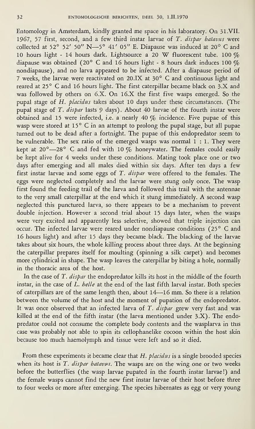Entomology in Amsterdam, kindly granted me space in his laboratory. On 31.VII. 1967, 57 first, second, and a few third instar larvae of T. dispar batavus were collected at 52° 52' 50" N—5° 41' 05" E. Diapause was induced at 20° C and 10 hours light - 14 hours dark. Lightsource a 20 W fluorescent tube. 100  $\%$ diapause was obtained (20° C and 16 hours light - 8 hours dark induces 100  $\%$ nondiapause), and no larva appeared to be infected. After a diapause period of 7 weeks, the larvae were reactivated on 20.IX at 30° C and continuous light and reared at 25° C and 16 hours light. The first caterpillar became black on 3.X and was followed by others on 6.X. On I6.X the first five wasps emerged. So the pupal stage of H. placidus takes about 10 days under these circumstances. (The pupal stage of T. dispar lasts 9 days). About 40 larvae of the fourth instar were obtained and 15 were infected, i.e. a nearly 40  $\%$  incidence. Five pupae of this wasp were stored at 15° C in an attempt to prolong the pupal stage, but all pupae turned out to be dead after a fortnight. The pupae of this endopredator seem to be vulnerable. The sex ratio of the emerged wasps was normal 1:1. They were kept at 20°-28° C and fed with 10  $\%$  honeywater. The females could easily be kept alive for 4 weeks under these conditions. Mating took place one or two days after emerging and all males died within six days. After ten days a few first instar larvae and some eggs of T. dispar were offered to the females. The eggs were neglected completely and the larvae were stung only once. The wasp first found the feeding trail of the larva and followed this trail with the antennae to the very small caterpillar at the end which it stung immediately. A second wasp neglected this punctured larva, so there appears to be a mechanism to prevent double injection. However a second trial about 15 days later, when the wasps were very excited and apparently less selective, showed that triple injection can occur. The infected larvae were reared under nondiapause conditions (25° C and 16 hours light) and after 15 days they became black. The blacking of the larvae takes about six hours, the whole killing process about three days. At the beginning the caterpillar prepares itself for moulting (spinning a silk carpet) and becomes more cylindrical in shape. The wasp leaves the caterpillar by biting a hole, normally in the thoracic area of the host.

In the case of T. dispar the endopredator kills its host in the middle of the fourth instar, in the case of  $\vec{L}$ . *helle* at the end of the last fifth larval instar. Both species of caterpillars are of the same length then, about 14—16 mm. So there is a relation between the volume of the host and the moment of pupation of the endopredator. It was once observed that an infected larva of T. dispar grew very fast and was killed at the end of the fifth instar (the larva mentioned under 3.X). The endopredator could not consume the complete body contents and the wasplarva in this case was probably not able to spin its cellophanelike cocoon within the host skin because too much haemolymph and tissue were left and so it died.

From these experiments it became clear that H. placidus is a single brooded species when its host is T. dispar batavus. The wasps are on the wing one or two weeks before the butterflies (the wasp larvae pupated in the fourth instar larvae!) and the female wasps cannot find the new first instar larvae of their host before three to four weeks or more after emerging. The species hibernates as egg or very young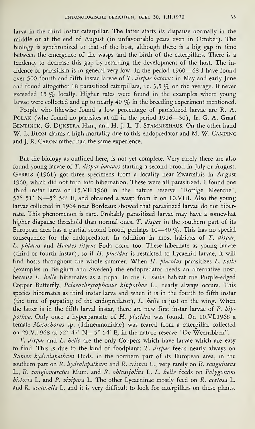larva in the third instar caterpillar. The latter starts its diapause normally in the middle or at the end of August (in unfavourable years even in October). The biology is synchronized to that of the host, although there is a big gap in time between the emergence of the wasps and the birth of the caterpillars. There is a tendency to decrease this gap by retarding the development of the host. The incidence of parasitism is in general very low. In the period I960—68 I have found over 500 fourth and fifth instar larvae of T. dispar batavus in May and early June and found altogether 18 parasitized caterpillars, i.e. 3,5  $\%$  on the average. It never exceeded 15  $\%$  locally. Higher rates were found in the examples where young larvae were collected and up to nearly 40  $\%$  in the breeding experiment mentioned.

People who likewise found a low percentage of parasitized larvae are R. A. Polak (who found no parasites at all in the period 1916—30), Ir. G. A. Graaf BENTINCK, G. DIJKSTRA Hzn., and H. J. L. T. STAMMESHAUS. On the other hand W. L. Blom claims a high mortality due to this endopredator and M. W. Camping and J. R. Caron rather had the same experience.

But the biology as outlined here, is not yet complete. Very rarely there are also found young larvae of T. dispar batavus starting a second brood in July or August. Gerris (1961) got three specimens from a locality near Zwartsluis in August I960, which did not turn into hibernation. These were all parasitized. I found one third instar larva on 15.VII.I960 in the nature reserve "Rottige Meenthe", 52° 51' N—5° 56' E, and obtained a wasp from it on 10.VIII. Also the young larvae collected in 1964 near Bordeaux showed that parasitized larvae do not hibernate. This phenomenon is rare. Probably parasitized larvae may have a somewhat higher diapause threshold than normal ones. T. dispar in the southern part of its European area has a partial second brood, perhaps 10—30  $\%$ . This has no special consequence for the endopredator. In addition in most habitats of T. dispar, L. phlaeas and Heodes tityrus Poda occur too. These hibernate as young larvae (third or fourth instar), so if H. placidus is restricted to Lycaenid larvae, it will find hosts throughout the whole summer. When H. placidus parasitizes L. helle (examples in Belgium and Sweden) the endopredator needs an alternative host, because L. belle hibernates as a pupa. In the L. belle habitat the Purple-edged because L. helle hibernates as a pupa. In the L. helle habitat the Purple-edged<br>Copper Butterfly, *Palaeochrysophanus hippothoe* L., nearly always occurs. This species hibernates as third instar larva and when it is in the fourth to fifth instar (the time of pupating of the endopredator), L. helle is just on the wing. When the latter is in the fifth larval instar, there are new first instar larvae of P. bippothoe. Only once a hyperparasite of H. placidus was found. On 10.VI.1968 a female Mesocborus sp. (Ichneumonidae) was reared from a caterpillar collected on 29.V.I968 at 52° 47' N—5° 54' E, in the nature reserve "De Weerribben''.

T. dispar and L. helle are the only Coppers which have larvae which are easy to find. This is due to the kind of foodplant: T. dispar feeds nearly always on Rumex hydrolapathum Huds. in the northern part of its European area, in the southern part on R. *bydrolapathum* and R. crispus L., very rarely on R. sanguineus L., R. conglomeratus Murr. and R. obtusifolius L. L. helle feeds on Polygonum bistorta L. and P. vivipara L. The other Lycaeninae mostly feed on R. acetosa L. and R. acetosella L. and it is very difficult to look for caterpillars on these plants.